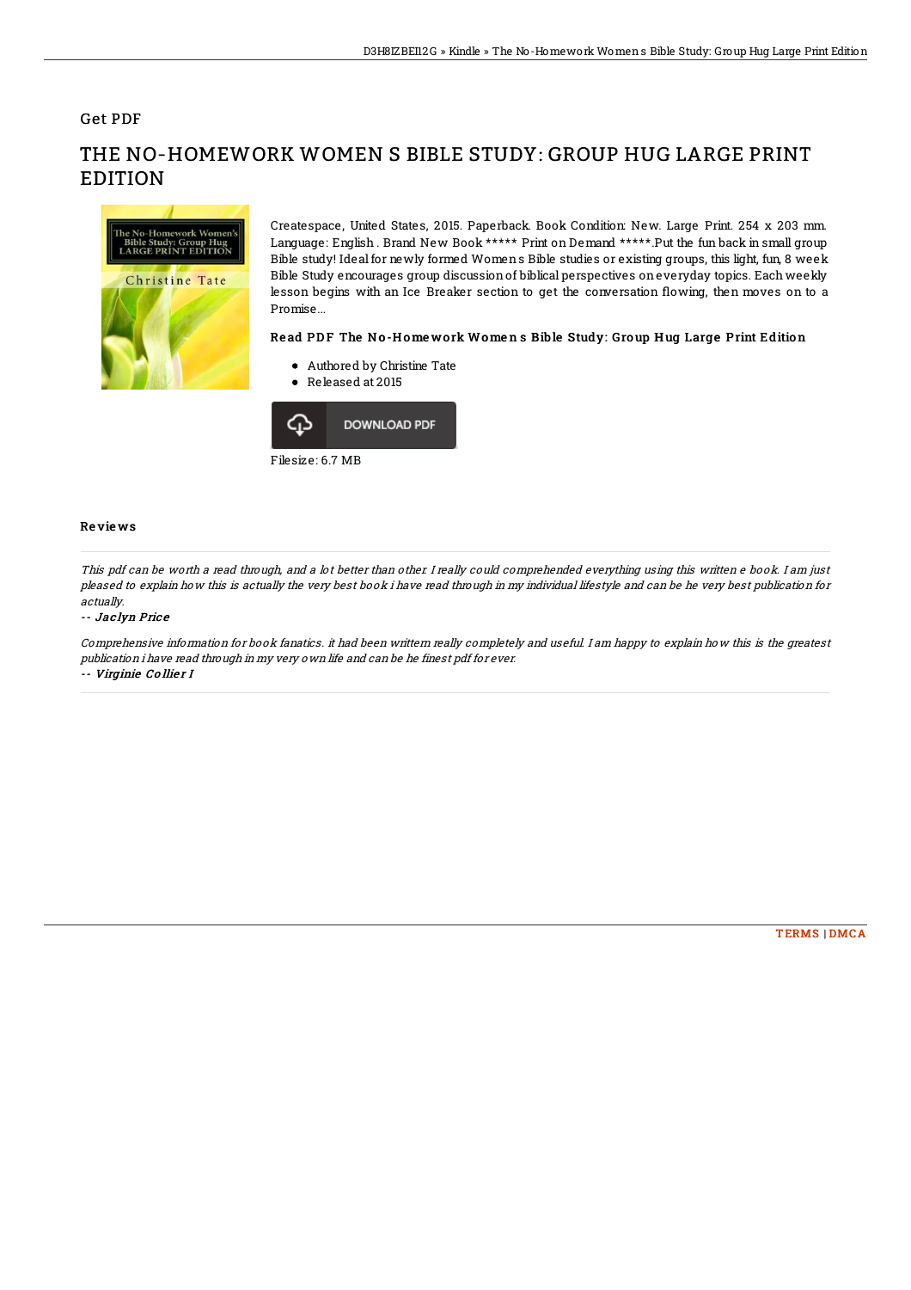## Get PDF



# THE NO-HOMEWORK WOMEN S BIBLE STUDY: GROUP HUG LARGE PRINT **EDITION**

Createspace, United States, 2015. Paperback. Book Condition: New. Large Print. 254 x 203 mm. Language: English . Brand New Book \*\*\*\*\* Print on Demand \*\*\*\*\*.Put the fun back in small group Bible study! Ideal for newly formed Womens Bible studies or existing groups, this light, fun, 8 week Bible Study encourages group discussionof biblical perspectives oneveryday topics. Each weekly lesson begins with an Ice Breaker section to get the conversation flowing, then moves on to a Promise...

#### Read PDF The No-Homework Womens Bible Study: Group Hug Large Print Edition

- Authored by Christine Tate
- Released at 2015



Filesize: 6.7 MB

### Re vie ws

This pdf can be worth <sup>a</sup> read through, and <sup>a</sup> lot better than other. I really could comprehended everything using this written <sup>e</sup> book. I am just pleased to explain how this is actually the very best book i have read through in my individual lifestyle and can be he very best publication for actually.

#### -- Jac lyn Pric <sup>e</sup>

Comprehensive information for book fanatics. it had been writtern really completely and useful. I am happy to explain how this is the greatest publication i have read through in my very own life and can be he finest pdf for ever. -- Virginie Collier I